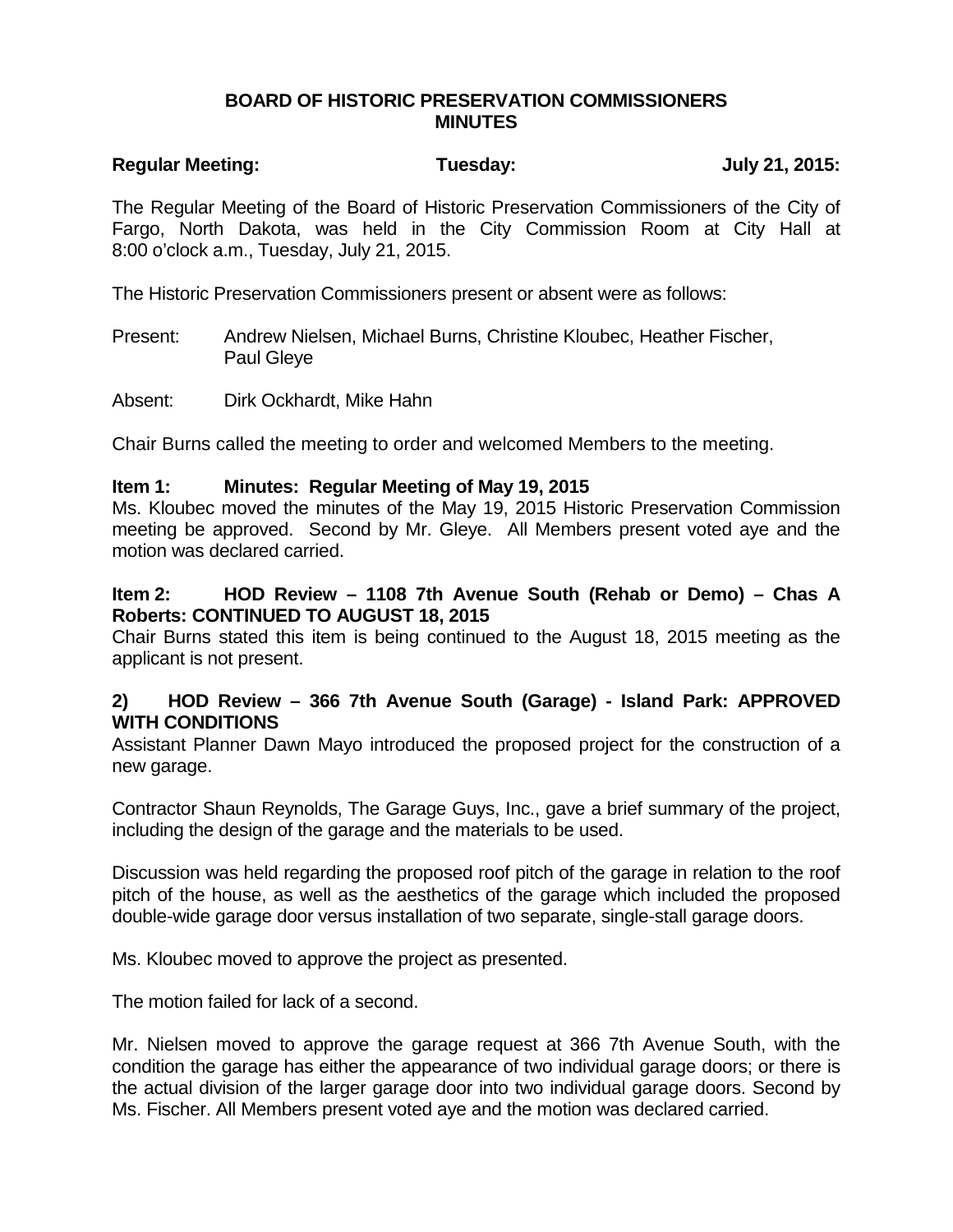#### **BOARD OF HISTORIC PRESERVATION COMMISSIONERS MINUTES**

# **Regular Meeting: Tuesday: July 21, 2015:**

The Regular Meeting of the Board of Historic Preservation Commissioners of the City of Fargo, North Dakota, was held in the City Commission Room at City Hall at 8:00 o'clock a.m., Tuesday, July 21, 2015.

The Historic Preservation Commissioners present or absent were as follows:

Present: Andrew Nielsen, Michael Burns, Christine Kloubec, Heather Fischer, Paul Gleye

Absent: Dirk Ockhardt, Mike Hahn

Chair Burns called the meeting to order and welcomed Members to the meeting.

#### **Item 1: Minutes: Regular Meeting of May 19, 2015**

Ms. Kloubec moved the minutes of the May 19, 2015 Historic Preservation Commission meeting be approved. Second by Mr. Gleye. All Members present voted aye and the motion was declared carried.

#### **Item 2: HOD Review – 1108 7th Avenue South (Rehab or Demo) – Chas A Roberts: CONTINUED TO AUGUST 18, 2015**

Chair Burns stated this item is being continued to the August 18, 2015 meeting as the applicant is not present.

# **2) HOD Review – 366 7th Avenue South (Garage) - Island Park: APPROVED WITH CONDITIONS**

Assistant Planner Dawn Mayo introduced the proposed project for the construction of a new garage.

Contractor Shaun Reynolds, The Garage Guys, Inc., gave a brief summary of the project, including the design of the garage and the materials to be used.

Discussion was held regarding the proposed roof pitch of the garage in relation to the roof pitch of the house, as well as the aesthetics of the garage which included the proposed double-wide garage door versus installation of two separate, single-stall garage doors.

Ms. Kloubec moved to approve the project as presented.

The motion failed for lack of a second.

Mr. Nielsen moved to approve the garage request at 366 7th Avenue South, with the condition the garage has either the appearance of two individual garage doors; or there is the actual division of the larger garage door into two individual garage doors. Second by Ms. Fischer. All Members present voted aye and the motion was declared carried.